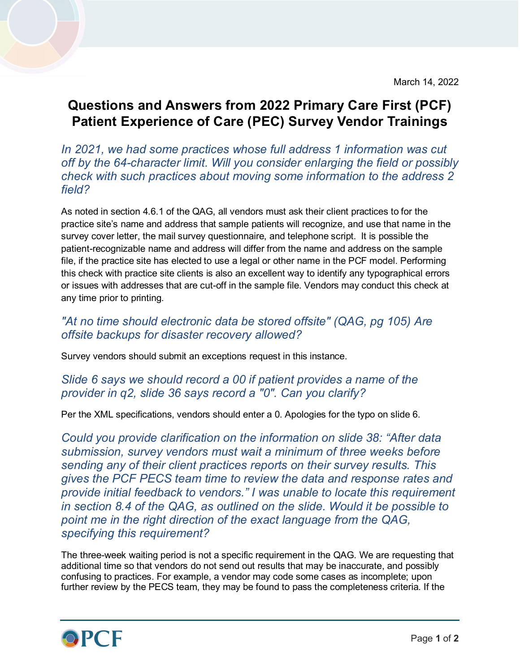March 14, 2022

## **Questions and Answers from 2022 Primary Care First (PCF) Patient Experience of Care (PEC) Survey Vendor Trainings**

## *In 2021, we had some practices whose full address 1 information was cut off by the 64-character limit. Will you consider enlarging the field or possibly check with such practices about moving some information to the address 2 field?*

As noted in section 4.6.1 of the QAG, all vendors must ask their client practices to for the practice site's name and address that sample patients will recognize, and use that name in the survey cover letter, the mail survey questionnaire, and telephone script. It is possible the patient-recognizable name and address will differ from the name and address on the sample file, if the practice site has elected to use a legal or other name in the PCF model. Performing this check with practice site clients is also an excellent way to identify any typographical errors or issues with addresses that are cut-off in the sample file. Vendors may conduct this check at any time prior to printing.

## *"At no time should electronic data be stored offsite" (QAG, pg 105) Are offsite backups for disaster recovery allowed?*

Survey vendors should submit an exceptions request in this instance.

## *Slide 6 says we should record a 00 if patient provides a name of the provider in q2, slide 36 says record a "0". Can you clarify?*

Per the XML specifications, vendors should enter a 0. Apologies for the typo on slide 6.

*Could you provide clarification on the information on slide 38: "After data submission, survey vendors must wait a minimum of three weeks before sending any of their client practices reports on their survey results. This gives the PCF PECS team time to review the data and response rates and provide initial feedback to vendors." I was unable to locate this requirement in section 8.4 of the QAG, as outlined on the slide. Would it be possible to point me in the right direction of the exact language from the QAG, specifying this requirement?*

The three-week waiting period is not a specific requirement in the QAG. We are requesting that additional time so that vendors do not send out results that may be inaccurate, and possibly confusing to practices. For example, a vendor may code some cases as incomplete; upon further review by the PECS team, they may be found to pass the completeness criteria. If the